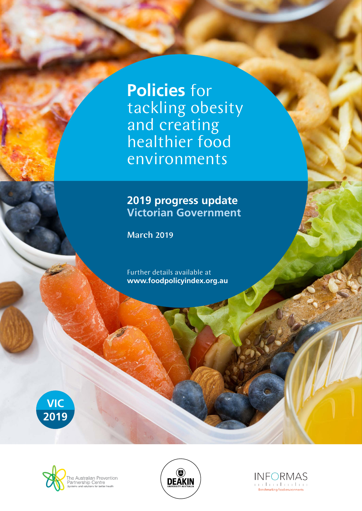**Policies** for tackling obesity and creating healthier food environments

## **2019 progress update Victorian Government**

March 2019

Further details available at **www.foodpolicyindex.org.au**







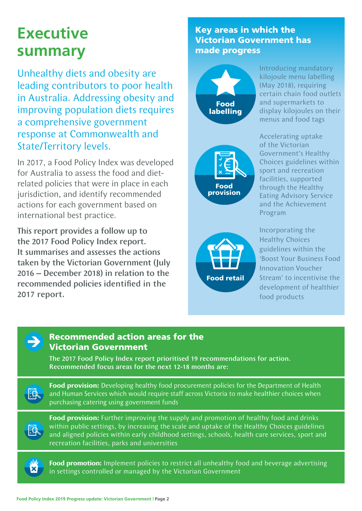# **Executive summary**

Unhealthy diets and obesity are leading contributors to poor health in Australia. Addressing obesity and improving population diets requires a comprehensive government response at Commonwealth and State/Territory levels.

In 2017, a Food Policy Index was developed for Australia to assess the food and dietrelated policies that were in place in each jurisdiction, and identify recommended actions for each government based on international best practice.

This report provides a follow up to the 2017 Food Policy Index report. It summarises and assesses the actions taken by the Victorian Government (July 2016 – December 2018) in relation to the recommended policies identified in the 2017 report.

### Key areas in which the Victorian Government has made progress



Introducing mandatory kilojoule menu labelling (May 2018), requiring certain chain food outlets and supermarkets to display kilojoules on their menus and food tags



Accelerating uptake of the Victorian Government's Healthy Choices guidelines within sport and recreation facilities, supported through the Healthy Eating Advisory Service and the Achievement Program



Incorporating the Healthy Choices guidelines within the 'Boost Your Business Food Innovation Voucher Stream' to incentivise the development of healthier food products



風

#### Recommended action areas for the Victorian Government

The 2017 Food Policy Index report prioritised 19 recommendations for action. Recommended focus areas for the next 12-18 months are:

**Food provision:** Developing healthy food procurement policies for the Department of Health and Human Services which would require staff across Victoria to make healthier choices when purchasing catering using government funds

**Food provision:** Further improving the supply and promotion of healthy food and drinks within public settings, by increasing the scale and uptake of the Healthy Choices guidelines and aligned policies within early childhood settings, schools, health care services, sport and recreation facilities, parks and universities



園

**Food promotion:** Implement policies to restrict all unhealthy food and beverage advertising in settings controlled or managed by the Victorian Government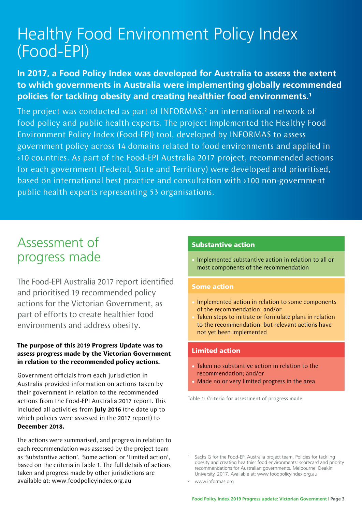# Healthy Food Environment Policy Index (Food-EPI)

## **In 2017, a Food Policy Index was developed for Australia to assess the extent to which governments in Australia were implementing globally recommended policies for tackling obesity and creating healthier food environments.1**

The project was conducted as part of INFORMAS, $<sup>2</sup>$  an international network of</sup> food policy and public health experts. The project implemented the Healthy Food Environment Policy Index (Food-EPI) tool, developed by INFORMAS to assess government policy across 14 domains related to food environments and applied in >10 countries. As part of the Food-EPI Australia 2017 project, recommended actions for each government (Federal, State and Territory) were developed and prioritised, based on international best practice and consultation with >100 non-government public health experts representing 53 organisations.

## Assessment of progress made

The Food-EPI Australia 2017 report identified and prioritised 19 recommended policy actions for the Victorian Government, as part of efforts to create healthier food environments and address obesity.

#### **The purpose of this 2019 Progress Update was to assess progress made by the Victorian Government in relation to the recommended policy actions.**

Government officials from each jurisdiction in Australia provided information on actions taken by their government in relation to the recommended actions from the Food-EPI Australia 2017 report. This included all activities from **July 2016** (the date up to which policies were assessed in the 2017 report) to **December 2018.**

The actions were summarised, and progress in relation to each recommendation was assessed by the project team as 'Substantive action', 'Some action' or 'Limited action', based on the criteria in Table 1. The full details of actions taken and progress made by other jurisdictions are available at: www.foodpolicyindex.org.au

#### Substantive action

• Implemented substantive action in relation to all or most components of the recommendation

#### Some action

- Implemented action in relation to some components of the recommendation; and/or
- Taken steps to initiate or formulate plans in relation to the recommendation, but relevant actions have not yet been implemented

#### Limited action

- Taken no substantive action in relation to the recommendation; and/or
- Made no or very limited progress in the area

Table 1: Criteria for assessment of progress made

Sacks G for the Food-EPI Australia project team. Policies for tackling obesity and creating healthier food environments: scorecard and priority recommendations for Australian governments. Melbourne: Deakin University, 2017. Available at: www.foodpolicyindex.org.au

<sup>2</sup> www.informas.org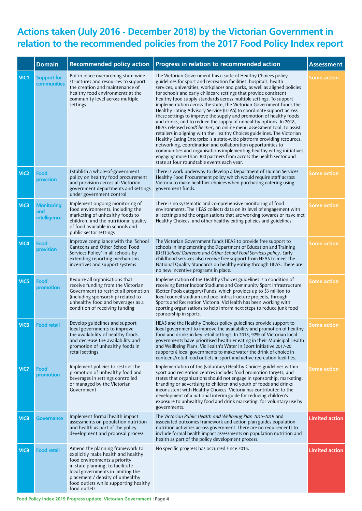## **Actions taken (July 2016 - December 2018) by the Victorian Government in relation to the recommended policies from the 2017 Food Policy Index report**

|                  | <b>Domain</b>                            | <b>Recommended policy action</b>                                                                                                                                                                                                                                            | Progress in relation to recommended action                                                                                                                                                                                                                                                                                                                                                                                                                                                                                                                                                                                                                                                                                                                                                                                                                                                                                                                                                                                                                                                                                                        | <b>Assessment</b>     |
|------------------|------------------------------------------|-----------------------------------------------------------------------------------------------------------------------------------------------------------------------------------------------------------------------------------------------------------------------------|---------------------------------------------------------------------------------------------------------------------------------------------------------------------------------------------------------------------------------------------------------------------------------------------------------------------------------------------------------------------------------------------------------------------------------------------------------------------------------------------------------------------------------------------------------------------------------------------------------------------------------------------------------------------------------------------------------------------------------------------------------------------------------------------------------------------------------------------------------------------------------------------------------------------------------------------------------------------------------------------------------------------------------------------------------------------------------------------------------------------------------------------------|-----------------------|
| VIC1             | <b>Support for</b><br>communities        | Put in place overarching state-wide<br>structures and resources to support<br>the creation and maintenance of<br>healthy food environments at the<br>community level across multiple<br>settings                                                                            | The Victorian Government has a suite of Healthy Choices policy<br>guidelines for sport and recreation facilities, hospitals, health<br>services, universities, workplaces and parks, as well as aligned policies<br>for schools and early childcare settings that provide consistent<br>healthy food supply standards across multiple settings. To support<br>implementation across the state, the Victorian Government funds the<br>Healthy Eating Advisory Service (HEAS) to coordinate support across<br>these settings to improve the supply and promotion of healthy foods<br>and drinks, and to reduce the supply of unhealthy options. In 2018,<br>HEAS released FoodChecker, an online menu assessment tool, to assist<br>retailers in aligning with the Healthy Choices guidelines. The Victorian<br>Healthy Eating Enterprise is a state-wide platform providing resources,<br>networking, coordination and collaboration opportunities to<br>communities and organisations implementing healthy eating initiatives,<br>engaging more than 300 partners from across the health sector and<br>state at four roundtable events each year. | Some action           |
| VIC <sub>2</sub> | Food<br>provision                        | Establish a whole-of-government<br>policy on healthy food procurement<br>and provision across all Victorian<br>government departments and settings<br>under government control                                                                                              | There is work underway to develop a Department of Human Services<br>Healthy Food Procurement policy which would require staff across<br>Victoria to make healthier choices when purchasing catering using<br>government funds.                                                                                                                                                                                                                                                                                                                                                                                                                                                                                                                                                                                                                                                                                                                                                                                                                                                                                                                    | <b>Some action</b>    |
| VIC <sub>3</sub> | <b>Monitoring</b><br>and<br>intelligence | Implement ongoing monitoring of<br>food environments, including the<br>marketing of unhealthy foods to<br>children, and the nutritional quality<br>of food available in schools and<br>public sector settings                                                               | There is no systematic and comprehensive monitoring of food<br>environments. The HEAS collects data on its level of engagement with<br>all settings and the organisations that are working towards or have met<br>Healthy Choices, and other healthy eating policies and guidelines.                                                                                                                                                                                                                                                                                                                                                                                                                                                                                                                                                                                                                                                                                                                                                                                                                                                              | <b>Some action</b>    |
| VIC4             | Food<br>provision                        | Improve compliance with the 'School<br>Canteens and Other School Food<br>Services Policy' in all schools by<br>extending reporting mechanisms,<br>incentives and support systems                                                                                            | The Victorian Government funds HEAS to provide free support to<br>schools in implementing the Department of Education and Training<br>(DET) School Canteens and Other School Food Services policy. Early<br>childhood services also receive free support from HEAS to meet the<br>National Quality Standards on healthy eating through HEAS. There are<br>no new incentive programs in place.                                                                                                                                                                                                                                                                                                                                                                                                                                                                                                                                                                                                                                                                                                                                                     | <b>Some action</b>    |
| VIC5             | Food<br>promotion                        | Require all organisations that<br>receive funding from the Victorian<br>Government to restrict all promotion<br>(including sponsorship) related to<br>unhealthy food and beverages as a<br>condition of receiving funding                                                   | Implementation of the Healthy Choices guidelines is a condition of<br>receiving Better Indoor Stadiums and Community Sport Infrastructure<br>(Better Pools category) Funds, which provides up to \$3 million to<br>local council stadium and pool infrastructure projects, through<br>Sports and Recreation Victoria. VicHealth has been working with<br>sporting organisations to help inform next steps to reduce junk food<br>sponsorship in sports.                                                                                                                                                                                                                                                                                                                                                                                                                                                                                                                                                                                                                                                                                           | <b>Some action</b>    |
| VIC <sub>6</sub> | <b>Food retail</b>                       | Develop guidelines and support<br>local governments to improve<br>the availability of healthy foods<br>and decrease the availability and<br>promotion of unhealthy foods in<br>retail settings                                                                              | HEAS and the Healthy Choices policy guidelines provide support to<br>local government to improve the availability and promotion of healthy<br>food and drinks in key retail settings. In 2018, 92% of Victorian local<br>governments have prioritised healthier eating in their Municipal Health<br>and Wellbeing Plans. VicHealth's Water in Sport Initiative 2017-20<br>supports 8 local governments to make water the drink of choice in<br>canteens/retail food outlets in sport and active recreation facilities.                                                                                                                                                                                                                                                                                                                                                                                                                                                                                                                                                                                                                            | Some action           |
| VIC7             | Food<br>promotion                        | Implement policies to restrict the<br>promotion of unhealthy food and<br>beverages in settings controlled<br>or managed by the Victorian<br>Government                                                                                                                      | Implementation of the (voluntary) Healthy Choices guidelines within<br>sport and recreation centres includes food promotion targets, and<br>states that organisations should not engage in sponsorship, marketing,<br>branding or advertising to children and youth of foods and drinks<br>inconsistent with Healthy Choices. Victoria has contributed to the<br>development of a national interim guide for reducing children's<br>exposure to unhealthy food and drink marketing, for voluntary use by<br>governments.                                                                                                                                                                                                                                                                                                                                                                                                                                                                                                                                                                                                                          | <b>Some action</b>    |
| VIC8             | <b>Governance</b>                        | Implement formal health impact<br>assessments on population nutrition<br>and health as part of the policy<br>development and proposal process                                                                                                                               | The Victorian Public Health and Wellbeing Plan 2015-2019 and<br>associated outcomes framework and action plan guides population<br>nutrition activities across government. There are no requirements to<br>include formal health impact assessments on population nutrition and<br>health as part of the policy development process.                                                                                                                                                                                                                                                                                                                                                                                                                                                                                                                                                                                                                                                                                                                                                                                                              | <b>Limited action</b> |
| VIC <sub>9</sub> | <b>Food retail</b>                       | Amend the planning framework to<br>explicitly make health and healthy<br>food environments a priority<br>in state planning, to facilitate<br>local governments in limiting the<br>placement / density of unhealthy<br>food outlets while supporting healthy<br>food outlets | No specific progress has occurred since 2016.                                                                                                                                                                                                                                                                                                                                                                                                                                                                                                                                                                                                                                                                                                                                                                                                                                                                                                                                                                                                                                                                                                     | <b>Limited action</b> |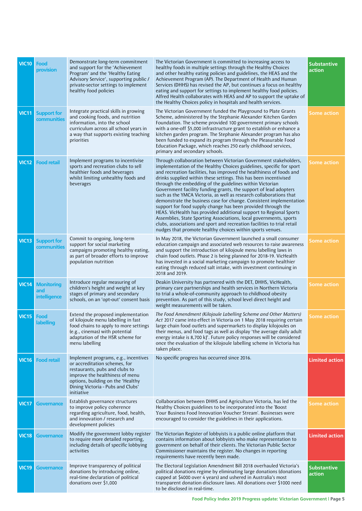| <b>VIC10</b> | Food<br>provision                        | Demonstrate long-term commitment<br>and support for the 'Achievement<br>Program' and the 'Healthy Eating<br>Advisory Service', supporting public /<br>private-sector settings to implement<br>healthy food policies                | The Victorian Government is committed to increasing access to<br>healthy foods in multiple settings through the Healthy Choices<br>and other healthy eating policies and guidelines, the HEAS and the<br>Achievement Program (AP). The Department of Health and Human<br>Services (DHHS) has revised the AP, but continues a focus on healthy<br>eating and support for settings to implement healthy food policies.<br>Alfred Health collaborates with HEAS and AP to support the uptake of<br>the Healthy Choices policy in hospitals and health services.                                                                                                                                                                                                                                                                                                                                                           | <b>Substantive</b><br>action |
|--------------|------------------------------------------|------------------------------------------------------------------------------------------------------------------------------------------------------------------------------------------------------------------------------------|------------------------------------------------------------------------------------------------------------------------------------------------------------------------------------------------------------------------------------------------------------------------------------------------------------------------------------------------------------------------------------------------------------------------------------------------------------------------------------------------------------------------------------------------------------------------------------------------------------------------------------------------------------------------------------------------------------------------------------------------------------------------------------------------------------------------------------------------------------------------------------------------------------------------|------------------------------|
| <b>VIC11</b> | <b>Support for</b><br>communities        | Integrate practical skills in growing<br>and cooking foods, and nutrition<br>information, into the school<br>curriculum across all school years in<br>a way that supports existing teaching<br>priorities                          | The Victorian Government funded the Playground to Plate Grants<br>Scheme, administered by the Stephanie Alexander Kitchen Garden<br>Foundation. The scheme provided 100 government primary schools<br>with a one-off \$5,000 infrastructure grant to establish or enhance a<br>kitchen garden program. The Stephanie Alexander program has also<br>been funded to expand its program through the Pleasurable Food<br>Education Package, which reaches 250 early childhood services,<br>primary and secondary schools.                                                                                                                                                                                                                                                                                                                                                                                                  | Some action                  |
| <b>VIC12</b> | <b>Food retail</b>                       | Implement programs to incentivise<br>sports and recreation clubs to sell<br>healthier foods and beverages<br>whilst limiting unhealthy foods and<br>beverages                                                                      | Through collaboration between Victorian Government stakeholders,<br>implementation of the Healthy Choices guidelines, specific for sport<br>and recreation facilities, has improved the healthiness of foods and<br>drinks supplied within these settings. This has been incentivised<br>through the embedding of the guidelines within Victorian<br>Government facility funding grants, the support of lead adopters<br>such as the YMCA Victoria, as well as research collaborations that<br>demonstrate the business case for change. Consistent implementation<br>support for food supply change has been provided through the<br>HEAS. VicHealth has provided additional support to Regional Sports<br>Assemblies, State Sporting Associations, local governments, sports<br>clubs, associations and sport and recreation facilities to trial retail<br>nudges that promote healthy choices within sports venues. | Some action                  |
| VIC13        | <b>Support for</b><br>communities        | Commit to ongoing, long-term<br>support for social marketing<br>campaigns promoting healthy eating,<br>as part of broader efforts to improve<br>population nutrition                                                               | In May 2018, the Victorian Government launched a small consumer<br>education campaign and associated web resources to raise awareness<br>and support the introduction of kilojoule menu labelling laws in<br>chain food outlets. Phase 2 is being planned for 2018-19. VicHealth<br>has invested in a social marketing campaign to promote healthier<br>eating through reduced salt intake, with investment continuing in<br>2018 and 2019.                                                                                                                                                                                                                                                                                                                                                                                                                                                                            | Some action                  |
| <b>VIC14</b> | <b>Monitoring</b><br>and<br>intelligence | Introduce regular measuring of<br>children's height and weight at key<br>stages of primary and secondary<br>schools, on an 'opt-out' consent basis                                                                                 | Deakin University has partnered with the DET, DHHS, VicHealth,<br>primary care partnerships and health services in Northern Victoria<br>to trial a whole-of-community approach to childhood obesity<br>prevention. As part of this study, school level direct height and<br>weight measurements will be taken.                                                                                                                                                                                                                                                                                                                                                                                                                                                                                                                                                                                                         | Some action                  |
| <b>VIC15</b> | Food<br>labelling                        | Extend the proposed implementation<br>of kilojoule menu labelling in fast<br>food chains to apply to more settings<br>(e.g., cinemas) with potential<br>adaptation of the HSR scheme for<br>menu labelling                         | The Food Amendment (Kilojoule Labelling Scheme and Other Matters)<br>Act 2017 came into effect in Victoria on 1 May 2018 requiring certain<br>large chain food outlets and supermarkets to display kilojoules on<br>their menus, and food tags as well as display 'the average daily adult<br>energy intake is 8,700 kJ'. Future policy responses will be considered<br>once the evaluation of the kilojoule labelling scheme in Victoria has<br>taken place.                                                                                                                                                                                                                                                                                                                                                                                                                                                          | Some action                  |
| <b>VIC16</b> | <b>Food retail</b>                       | Implement programs, e.g., incentives<br>or accreditation schemes, for<br>restaurants, pubs and clubs to<br>improve the healthiness of menu<br>options, building on the 'Healthy<br>Dining Victoria - Pubs and Clubs'<br>initiative | No specific progress has occurred since 2016.                                                                                                                                                                                                                                                                                                                                                                                                                                                                                                                                                                                                                                                                                                                                                                                                                                                                          | <b>Limited action</b>        |
| <b>VIC17</b> | <b>Governance</b>                        | Establish governance structures<br>to improve policy coherence<br>regarding agriculture, food, health,<br>and innovation / research and<br>development policies                                                                    | Collaboration between DHHS and Agriculture Victoria, has led the<br>Healthy Choices guidelines to be incorporated into the 'Boost'<br>Your Business Food Innovation Voucher Stream'. Businesses were<br>encouraged to consider the guidelines in their applications.                                                                                                                                                                                                                                                                                                                                                                                                                                                                                                                                                                                                                                                   | <b>Some action</b>           |
| <b>VIC18</b> | <b>Governance</b>                        | Modify the government lobby register<br>to require more detailed reporting,<br>including details of specific lobbying<br>activities                                                                                                | The Victorian Register of lobbyists is a public online platform that<br>contains information about lobbyists who make representation to<br>government on behalf of their clients. The Victorian Public Sector<br>Commissioner maintains the register. No changes in reporting<br>requirements have recently been made.                                                                                                                                                                                                                                                                                                                                                                                                                                                                                                                                                                                                 | <b>Limited action</b>        |
| <b>VIC19</b> | Governance                               | Improve transparency of political<br>donations by introducing online,<br>real-time declaration of political<br>donations over \$1,000                                                                                              | The Electoral Legislation Amendment Bill 2018 overhauled Victoria's<br>political donations regime by eliminating large donations (donations<br>capped at \$4000 over 4 years) and ushered in Australia's most<br>transparent donation disclosure laws. All donations over \$1000 need<br>to be disclosed in real-time.                                                                                                                                                                                                                                                                                                                                                                                                                                                                                                                                                                                                 | <b>Substantive</b><br>action |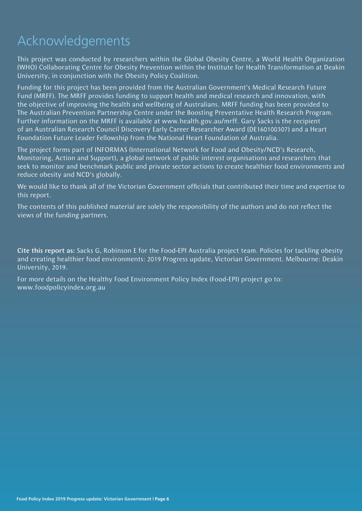## Acknowledgements

This project was conducted by researchers within the Global Obesity Centre, a World Health Organization (WHO) Collaborating Centre for Obesity Prevention within the Institute for Health Transformation at Deakin University, in conjunction with the Obesity Policy Coalition.

Funding for this project has been provided from the Australian Government's Medical Research Future Fund (MRFF). The MRFF provides funding to support health and medical research and innovation, with the objective of improving the health and wellbeing of Australians. MRFF funding has been provided to The Australian Prevention Partnership Centre under the Boosting Preventative Health Research Program. Further information on the MRFF is available at www.health.gov.au/mrff. Gary Sacks is the recipient of an Australian Research Council Discovery Early Career Researcher Award (DE160100307) and a Heart Foundation Future Leader Fellowship from the National Heart Foundation of Australia.

The project forms part of INFORMAS (International Network for Food and Obesity/NCD's Research, Monitoring, Action and Support), a global network of public interest organisations and researchers that seek to monitor and benchmark public and private sector actions to create healthier food environments and reduce obesity and NCD's globally.

We would like to thank all of the Victorian Government officials that contributed their time and expertise to this report.

The contents of this published material are solely the responsibility of the authors and do not reflect the views of the funding partners.

Cite this report as: Sacks G, Robinson E for the Food-EPI Australia project team. Policies for tackling obesity and creating healthier food environments: 2019 Progress update, Victorian Government. Melbourne: Deakin University, 2019.

For more details on the Healthy Food Environment Policy Index (Food-EPI) project go to: www.foodpolicyindex.org.au